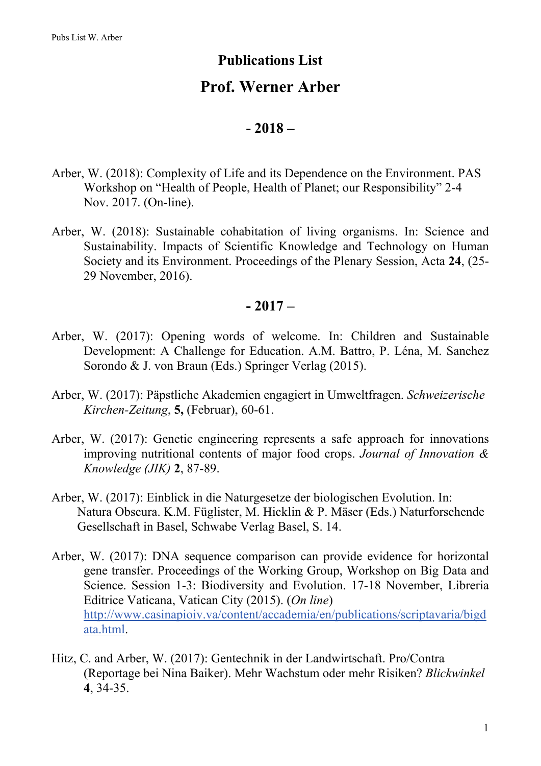### **Publications List**

# **Prof. Werner Arber**

#### **- 2018 –**

- Arber, W. (2018): Complexity of Life and its Dependence on the Environment. PAS Workshop on "Health of People, Health of Planet; our Responsibility" 2-4 Nov. 2017. (On-line).
- Arber, W. (2018): Sustainable cohabitation of living organisms. In: Science and Sustainability. Impacts of Scientific Knowledge and Technology on Human Society and its Environment. Proceedings of the Plenary Session, Acta **24**, (25- 29 November, 2016).

#### **- 2017 –**

- Arber, W. (2017): Opening words of welcome. In: Children and Sustainable Development: A Challenge for Education. A.M. Battro, P. Léna, M. Sanchez Sorondo & J. von Braun (Eds.) Springer Verlag (2015).
- Arber, W. (2017): Päpstliche Akademien engagiert in Umweltfragen. *Schweizerische Kirchen-Zeitung*, **5,** (Februar), 60-61.
- Arber, W. (2017): Genetic engineering represents a safe approach for innovations improving nutritional contents of major food crops. *Journal of Innovation & Knowledge (JIK)* **2**, 87-89.
- Arber, W. (2017): Einblick in die Naturgesetze der biologischen Evolution. In: Natura Obscura. K.M. Füglister, M. Hicklin & P. Mäser (Eds.) Naturforschende Gesellschaft in Basel, Schwabe Verlag Basel, S. 14.
- Arber, W. (2017): DNA sequence comparison can provide evidence for horizontal gene transfer. Proceedings of the Working Group, Workshop on Big Data and Science. Session 1-3: Biodiversity and Evolution. 17-18 November, Libreria Editrice Vaticana, Vatican City (2015). (*On line*) [http://www.casinapioiv.va/content/accademia/en/publications/scriptavaria/bigd](http://www.casinapioiv.va/content/accademia/en/publications/scriptavaria/bigdata.html) [ata.html.](http://www.casinapioiv.va/content/accademia/en/publications/scriptavaria/bigdata.html)
- Hitz, C. and Arber, W. (2017): Gentechnik in der Landwirtschaft. Pro/Contra (Reportage bei Nina Baiker). Mehr Wachstum oder mehr Risiken? *Blickwinkel* **4**, 34-35.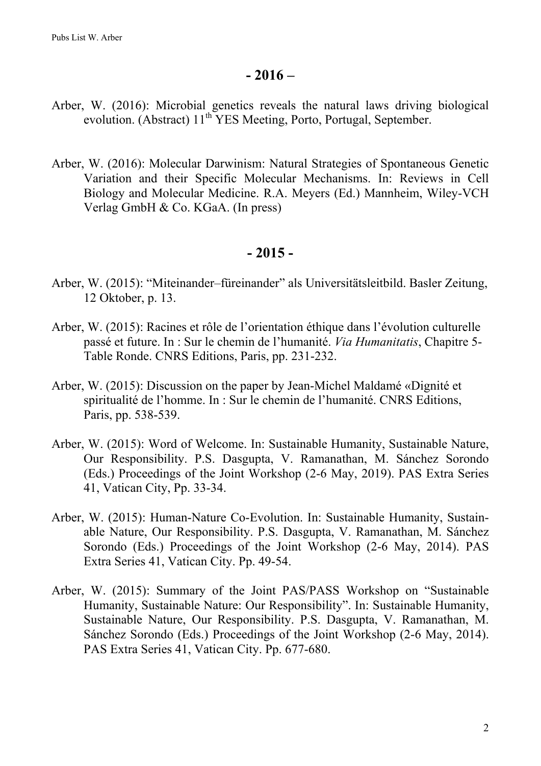#### **- 2016 –**

- Arber, W. (2016): Microbial genetics reveals the natural laws driving biological evolution. (Abstract)  $11^{th}$  YES Meeting, Porto, Portugal, September.
- Arber, W. (2016): Molecular Darwinism: Natural Strategies of Spontaneous Genetic Variation and their Specific Molecular Mechanisms. In: Reviews in Cell Biology and Molecular Medicine. R.A. Meyers (Ed.) Mannheim, Wiley-VCH Verlag GmbH & Co. KGaA. (In press)

#### **- 2015 -**

- Arber, W. (2015): "Miteinander–füreinander" als Universitätsleitbild. Basler Zeitung, 12 Oktober, p. 13.
- Arber, W. (2015): Racines et rôle de l'orientation éthique dans l'évolution culturelle passé et future. In : Sur le chemin de l'humanité. *Via Humanitatis*, Chapitre 5- Table Ronde. CNRS Editions, Paris, pp. 231-232.
- Arber, W. (2015): Discussion on the paper by Jean-Michel Maldamé «Dignité et spiritualité de l'homme. In : Sur le chemin de l'humanité. CNRS Editions, Paris, pp. 538-539.
- Arber, W. (2015): Word of Welcome. In: Sustainable Humanity, Sustainable Nature, Our Responsibility. P.S. Dasgupta, V. Ramanathan, M. Sánchez Sorondo (Eds.) Proceedings of the Joint Workshop (2-6 May, 2019). PAS Extra Series 41, Vatican City, Pp. 33-34.
- Arber, W. (2015): Human-Nature Co-Evolution. In: Sustainable Humanity, Sustainable Nature, Our Responsibility. P.S. Dasgupta, V. Ramanathan, M. Sánchez Sorondo (Eds.) Proceedings of the Joint Workshop (2-6 May, 2014). PAS Extra Series 41, Vatican City. Pp. 49-54.
- Arber, W. (2015): Summary of the Joint PAS/PASS Workshop on "Sustainable Humanity, Sustainable Nature: Our Responsibility". In: Sustainable Humanity, Sustainable Nature, Our Responsibility. P.S. Dasgupta, V. Ramanathan, M. Sánchez Sorondo (Eds.) Proceedings of the Joint Workshop (2-6 May, 2014). PAS Extra Series 41, Vatican City. Pp. 677-680.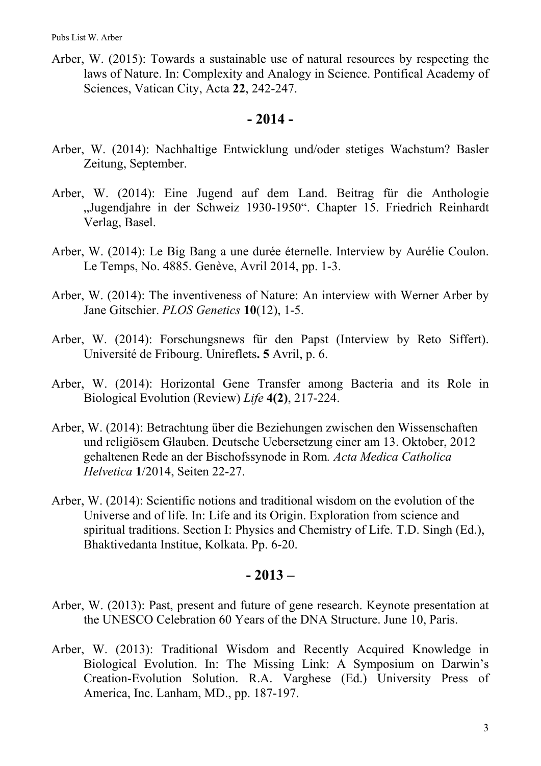Arber, W. (2015): Towards a sustainable use of natural resources by respecting the laws of Nature. In: Complexity and Analogy in Science. Pontifical Academy of Sciences, Vatican City, Acta **22**, 242-247.

## **- 2014 -**

- Arber, W. (2014): Nachhaltige Entwicklung und/oder stetiges Wachstum? Basler Zeitung, September.
- Arber, W. (2014): Eine Jugend auf dem Land. Beitrag für die Anthologie "Jugendjahre in der Schweiz 1930-1950". Chapter 15. Friedrich Reinhardt Verlag, Basel.
- Arber, W. (2014): Le Big Bang a une durée éternelle. Interview by Aurélie Coulon. Le Temps, No. 4885. Genève, Avril 2014, pp. 1-3.
- Arber, W. (2014): The inventiveness of Nature: An interview with Werner Arber by Jane Gitschier. *PLOS Genetics* **10**(12), 1-5.
- Arber, W. (2014): Forschungsnews für den Papst (Interview by Reto Siffert). Université de Fribourg. Unireflets**. 5** Avril, p. 6.
- Arber, W. (2014): Horizontal Gene Transfer among Bacteria and its Role in Biological Evolution (Review) *Life* **4(2)**, 217-224.
- Arber, W. (2014): Betrachtung über die Beziehungen zwischen den Wissenschaften und religiösem Glauben. Deutsche Uebersetzung einer am 13. Oktober, 2012 gehaltenen Rede an der Bischofssynode in Rom*. Acta Medica Catholica Helvetica* **1**/2014, Seiten 22-27.
- Arber, W. (2014): Scientific notions and traditional wisdom on the evolution of the Universe and of life. In: Life and its Origin. Exploration from science and spiritual traditions. Section I: Physics and Chemistry of Life. T.D. Singh (Ed.), Bhaktivedanta Institue, Kolkata. Pp. 6-20.

## **- 2013 –**

- Arber, W. (2013): Past, present and future of gene research. Keynote presentation at the UNESCO Celebration 60 Years of the DNA Structure. June 10, Paris.
- Arber, W. (2013): Traditional Wisdom and Recently Acquired Knowledge in Biological Evolution. In: The Missing Link: A Symposium on Darwin's Creation-Evolution Solution. R.A. Varghese (Ed.) University Press of America, Inc. Lanham, MD., pp. 187-197.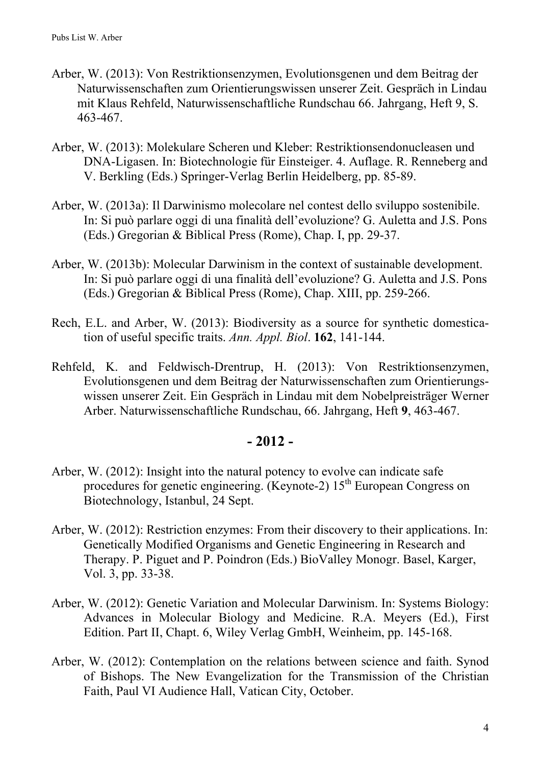- Arber, W. (2013): Von Restriktionsenzymen, Evolutionsgenen und dem Beitrag der Naturwissenschaften zum Orientierungswissen unserer Zeit. Gespräch in Lindau mit Klaus Rehfeld, Naturwissenschaftliche Rundschau 66. Jahrgang, Heft 9, S. 463-467.
- Arber, W. (2013): Molekulare Scheren und Kleber: Restriktionsendonucleasen und DNA-Ligasen. In: Biotechnologie für Einsteiger. 4. Auflage. R. Renneberg and V. Berkling (Eds.) Springer-Verlag Berlin Heidelberg, pp. 85-89.
- Arber, W. (2013a): Il Darwinismo molecolare nel contest dello sviluppo sostenibile. In: Si può parlare oggi di una finalità dell'evoluzione? G. Auletta and J.S. Pons (Eds.) Gregorian & Biblical Press (Rome), Chap. I, pp. 29-37.
- Arber, W. (2013b): Molecular Darwinism in the context of sustainable development. In: Si può parlare oggi di una finalità dell'evoluzione? G. Auletta and J.S. Pons (Eds.) Gregorian & Biblical Press (Rome), Chap. XIII, pp. 259-266.
- Rech, E.L. and Arber, W. (2013): Biodiversity as a source for synthetic domestication of useful specific traits. *Ann. Appl. Biol*. **162**, 141-144.
- Rehfeld, K. and Feldwisch-Drentrup, H. (2013): Von Restriktionsenzymen, Evolutionsgenen und dem Beitrag der Naturwissenschaften zum Orientierungswissen unserer Zeit. Ein Gespräch in Lindau mit dem Nobelpreisträger Werner Arber. Naturwissenschaftliche Rundschau, 66. Jahrgang, Heft **9**, 463-467.

#### **- 2012 -**

- Arber, W. (2012): Insight into the natural potency to evolve can indicate safe procedures for genetic engineering. (Keynote-2)  $15<sup>th</sup>$  European Congress on Biotechnology, Istanbul, 24 Sept.
- Arber, W. (2012): Restriction enzymes: From their discovery to their applications. In: Genetically Modified Organisms and Genetic Engineering in Research and Therapy. P. Piguet and P. Poindron (Eds.) BioValley Monogr. Basel, Karger, Vol. 3, pp. 33-38.
- Arber, W. (2012): Genetic Variation and Molecular Darwinism. In: Systems Biology: Advances in Molecular Biology and Medicine. R.A. Meyers (Ed.), First Edition. Part II, Chapt. 6, Wiley Verlag GmbH, Weinheim, pp. 145-168.
- Arber, W. (2012): Contemplation on the relations between science and faith. Synod of Bishops. The New Evangelization for the Transmission of the Christian Faith, Paul VI Audience Hall, Vatican City, October.